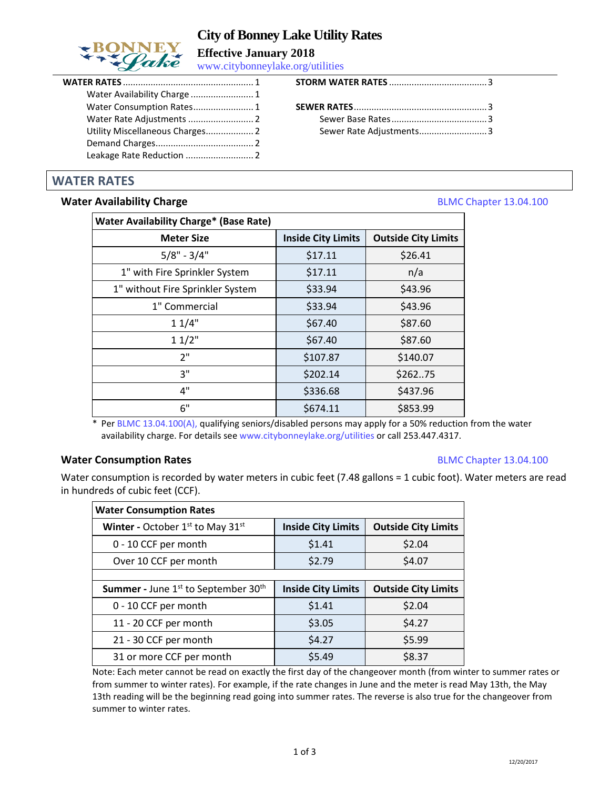

# **City of Bonney Lake Utility Rates**

**STORM WATER RATES** [.......................................3](#page-1-4)

**SEWER RATES**[.....................................................3](#page-2-0) [Sewer Base Rates......................................3](#page-2-1) [Sewer Rate Adjustments...........................3](#page-2-2)

# **Effective January 2018**

[www.citybonneylake.org/utilities](http://www.citybonneylake.org/utilities)

| Water Availability Charge  1 |  |
|------------------------------|--|
| Water Consumption Rates 1    |  |
|                              |  |
|                              |  |
|                              |  |
|                              |  |
|                              |  |

<span id="page-0-0"></span>

| <b>WATER RATES</b> |  |
|--------------------|--|

## <span id="page-0-1"></span>**Water Availability Charge [BLMC Chapter](http://www.codepublishing.com/WA/BonneyLake/?BonneyLake13/BonneyLake1304.html) 13.04.100**

| <b>Water Availability Charge* (Base Rate)</b> |                           |                            |
|-----------------------------------------------|---------------------------|----------------------------|
| <b>Meter Size</b>                             | <b>Inside City Limits</b> | <b>Outside City Limits</b> |
| $5/8" - 3/4"$                                 | \$17.11                   | \$26.41                    |
| 1" with Fire Sprinkler System                 | \$17.11                   | n/a                        |
| 1" without Fire Sprinkler System              | \$33.94                   | \$43.96                    |
| 1" Commercial                                 | \$33.94                   | \$43.96                    |
| 11/4"                                         | \$67.40                   | \$87.60                    |
| 11/2"                                         | \$67.40                   | \$87.60                    |
| 2"                                            | \$107.87                  | \$140.07                   |
| 3"                                            | \$202.14                  | \$26275                    |
| 4"                                            | \$336.68                  | \$437.96                   |
| 6"                                            | \$674.11                  | \$853.99                   |

\* Pe[r BLMC 13.04.100\(A\),](http://www.codepublishing.com/WA/BonneyLake/?BonneyLake13/BonneyLake1304.html) qualifying seniors/disabled persons may apply for a 50% reduction from the water availability charge. For details se[e www.citybonneylake.org/utilities](http://www.citybonneylake.org/utilities) or call 253.447.4317.

## <span id="page-0-2"></span>**Water Consumption Rates [BLMC Chapter 13.04.100](http://www.codepublishing.com/WA/BonneyLake/?BonneyLake13/BonneyLake1304.html)**

Water consumption is recorded by water meters in cubic feet (7.48 gallons = 1 cubic foot). Water meters are read in hundreds of cubic feet (CCF).

| <b>Water Consumption Rates</b>                                     |                           |                            |
|--------------------------------------------------------------------|---------------------------|----------------------------|
| <b>Winter - October 1st to May 31st</b>                            | <b>Inside City Limits</b> | <b>Outside City Limits</b> |
| 0 - 10 CCF per month                                               | \$1.41                    | \$2.04                     |
| Over 10 CCF per month                                              | \$2.79                    | \$4.07                     |
|                                                                    |                           |                            |
|                                                                    |                           |                            |
| <b>Summer</b> - June 1 <sup>st</sup> to September 30 <sup>th</sup> | <b>Inside City Limits</b> | <b>Outside City Limits</b> |
| 0 - 10 CCF per month                                               | \$1.41                    | \$2.04                     |
| 11 - 20 CCF per month                                              | \$3.05                    | \$4.27                     |
| 21 - 30 CCF per month                                              | \$4.27                    | \$5.99                     |

Note: Each meter cannot be read on exactly the first day of the changeover month (from winter to summer rates or from summer to winter rates). For example, if the rate changes in June and the meter is read May 13th, the May 13th reading will be the beginning read going into summer rates. The reverse is also true for the changeover from summer to winter rates.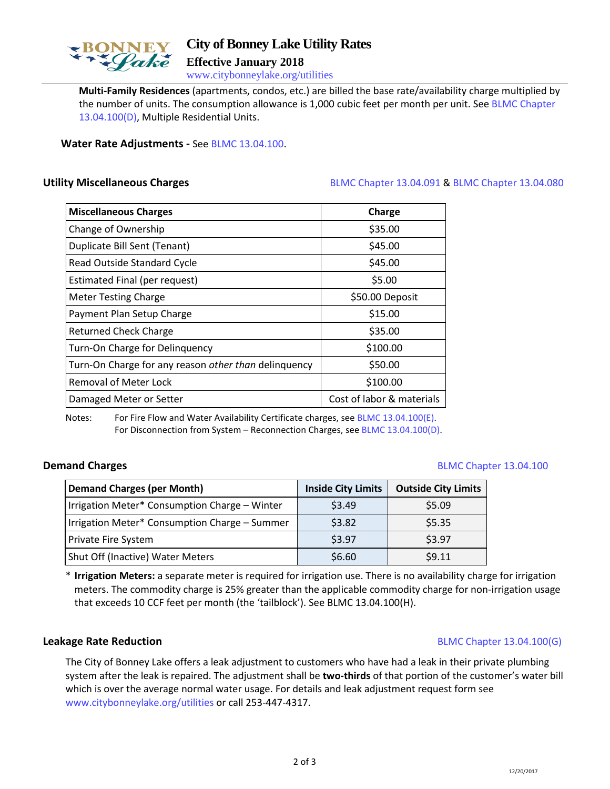

**Effective January 2018**

[www.citybonneylake.org/utilities](http://www.citybonneylake.org/utilities)

**Multi-Family Residences** (apartments, condos, etc.) are billed the base rate/availability charge multiplied by the number of units. The consumption allowance is 1,000 cubic feet per month per unit. See BLMC Chapter [13.04.100\(D\),](http://www.codepublishing.com/WA/BonneyLake/?BonneyLake13/BonneyLake1304.html) Multiple Residential Units.

<span id="page-1-0"></span>**Water Rate Adjustments -** Se[e BLMC 13.04.100.](http://www.codepublishing.com/WA/BonneyLake/?BonneyLake13/BonneyLake1304.html)

<span id="page-1-1"></span>**Utility Miscellaneous Charges [BLMC Chapter 13.04.091 & BLMC Chapter 13.04.080](http://www.codepublishing.com/WA/BonneyLake/?BonneyLake13/BonneyLake1304.html)** 

| <b>Miscellaneous Charges</b>                         | Charge                    |
|------------------------------------------------------|---------------------------|
| Change of Ownership                                  | \$35.00                   |
| Duplicate Bill Sent (Tenant)                         | \$45.00                   |
| Read Outside Standard Cycle                          | \$45.00                   |
| Estimated Final (per request)                        | \$5.00                    |
| <b>Meter Testing Charge</b>                          | \$50.00 Deposit           |
| Payment Plan Setup Charge                            | \$15.00                   |
| <b>Returned Check Charge</b>                         | \$35.00                   |
| Turn-On Charge for Delinquency                       | \$100.00                  |
| Turn-On Charge for any reason other than delinquency | \$50.00                   |
| <b>Removal of Meter Lock</b>                         | \$100.00                  |
| Damaged Meter or Setter                              | Cost of labor & materials |

Notes: For Fire Flow and Water Availability Certificate charges, se[e BLMC 13.04.100\(E\).](http://www.codepublishing.com/WA/BonneyLake/?BonneyLake13/BonneyLake1304.html) For Disconnection from System – Reconnection Charges, see [BLMC 13.04.100\(D\).](http://www.codepublishing.com/WA/BonneyLake/?BonneyLake13/BonneyLake1304.html)

## <span id="page-1-2"></span>**Demand Charges BLMC** Chapter 13.04.100

| <b>Demand Charges (per Month)</b>             | <b>Inside City Limits</b> | <b>Outside City Limits</b> |
|-----------------------------------------------|---------------------------|----------------------------|
| Irrigation Meter* Consumption Charge - Winter | \$3.49                    | \$5.09                     |
| Irrigation Meter* Consumption Charge - Summer | \$3.82                    | \$5.35                     |
| Private Fire System                           | \$3.97                    | \$3.97                     |
| Shut Off (Inactive) Water Meters              | \$6.60                    | \$9.11                     |

\* **Irrigation Meters:** a separate meter is required for irrigation use. There is no availability charge for irrigation meters. The commodity charge is 25% greater than the applicable commodity charge for non-irrigation usage that exceeds 10 CCF feet per month (the 'tailblock'). See BLMC 13.04.100(H).

## <span id="page-1-3"></span>**Leakage Rate Reduction Constantine Chapter 13.04.100(G) [BLMC Chapter 13.04.100\(G\)](http://www.codepublishing.com/WA/BonneyLake/?BonneyLake13/BonneyLake1304.html)**

<span id="page-1-4"></span>The City of Bonney Lake offers a leak adjustment to customers who have had a leak in their private plumbing system after the leak is repaired. The adjustment shall be **two-thirds** of that portion of the customer's water bill which is over the average normal water usage. For details and leak adjustment request form see [www.citybonneylake.org/utilities](http://www.citybonneylake.org/utilities) or call 253-447-4317.